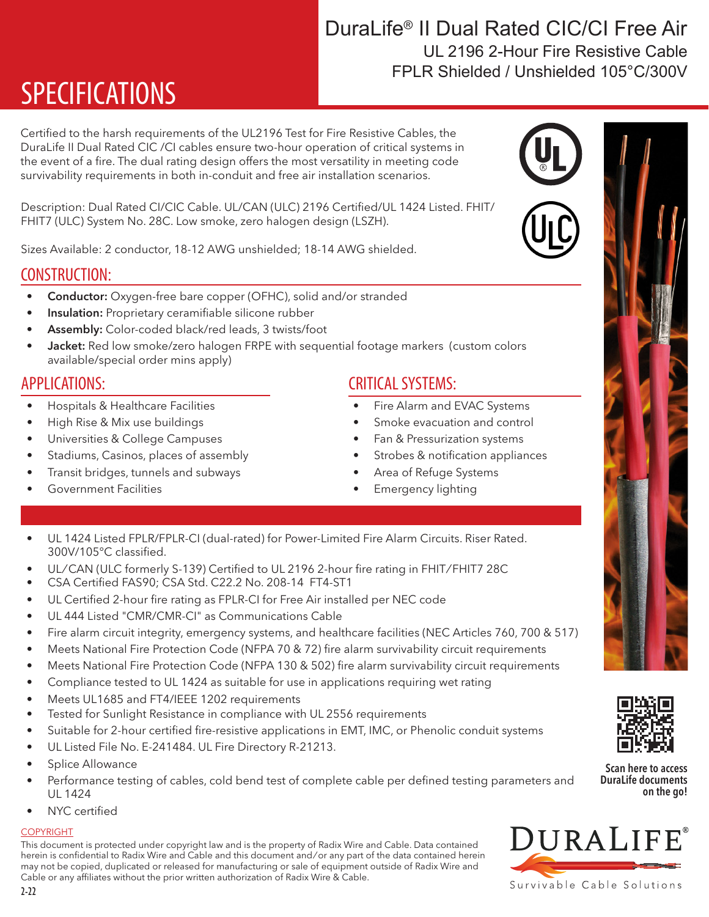# DuraLife® II Dual Rated CIC/CI Free Air FPLR Shielded / Unshielded 105°C/300V UL 2196 2-Hour Fire Resistive Cable

# SPECIFICATIONS

Certified to the harsh requirements of the UL2196 Test for Fire Resistive Cables, the DuraLife II Dual Rated CIC /CI cables ensure two-hour operation of critical systems in the event of a fire. The dual rating design offers the most versatility in meeting code survivability requirements in both in-conduit and free air installation scenarios.

Description: Dual Rated CI/CIC Cable. UL/CAN (ULC) 2196 Certified/UL 1424 Listed. FHIT/ FHIT7 (ULC) System No. 28C. Low smoke, zero halogen design (LSZH).

Sizes Available: 2 conductor, 18-12 AWG unshielded; 18-14 AWG shielded.

### CONSTRUCTION:

- Conductor: Oxygen-free bare copper (OFHC), solid and/or stranded
- Insulation: Proprietary ceramifiable silicone rubber
- Assembly: Color-coded black/red leads, 3 twists/foot
- **Jacket:** Red low smoke/zero halogen FRPE with sequential footage markers (custom colors available/special order mins apply)

### APPLICATIONS:

- Hospitals & Healthcare Facilities
- High Rise & Mix use buildings
- Universities & College Campuses
- Stadiums, Casinos, places of assembly
- Transit bridges, tunnels and subways

COMPLIANCE & PERFORMANCE FEATURES:

• Government Facilities

## CRITICAL SYSTEMS:

- Fire Alarm and EVAC Systems
- Smoke evacuation and control
- Fan & Pressurization systems
- Strobes & notification appliances
- Area of Refuge Systems
- Emergency lighting
- UL 1424 Listed FPLR/FPLR-CI (dual-rated) for Power-Limited Fire Alarm Circuits. Riser Rated. 300V/105°C classified.
- UL/CAN (ULC formerly S-139) Certified to UL 2196 2-hour fire rating in FHIT/FHIT7 28C
- CSA Certified FAS90; CSA Std. C22.2 No. 208-14 FT4-ST1
- UL Certified 2-hour fire rating as FPLR-CI for Free Air installed per NEC code
- UL 444 Listed "CMR/CMR-CI" as Communications Cable
- Fire alarm circuit integrity, emergency systems, and healthcare facilities (NEC Articles 760, 700 & 517)
- Meets National Fire Protection Code (NFPA 70 & 72) fire alarm survivability circuit requirements
- Meets National Fire Protection Code (NFPA 130 & 502) fire alarm survivability circuit requirements
- Compliance tested to UL 1424 as suitable for use in applications requiring wet rating
- Meets UL1685 and FT4/IEEE 1202 requirements
- Tested for Sunlight Resistance in compliance with UL 2556 requirements
- Suitable for 2-hour certified fire-resistive applications in EMT, IMC, or Phenolic conduit systems
- UL Listed File No. E-241484. UL Fire Directory R-21213.
- Splice Allowance
- Performance testing of cables, cold bend test of complete cable per defined testing parameters and UL 1424
- NYC certified

### **COPYRIGHT**

This document is protected under copyright law and is the property of Radix Wire and Cable. Data contained herein is confidential to Radix Wire and Cable and this document and / or any part of the data contained herein may not be copied, duplicated or released for manufacturing or sale of equipment outside of Radix Wire and Cable or any affiliates without the prior written authorization of Radix Wire & Cable.

Scan here to access DuraLife documents

on the go!